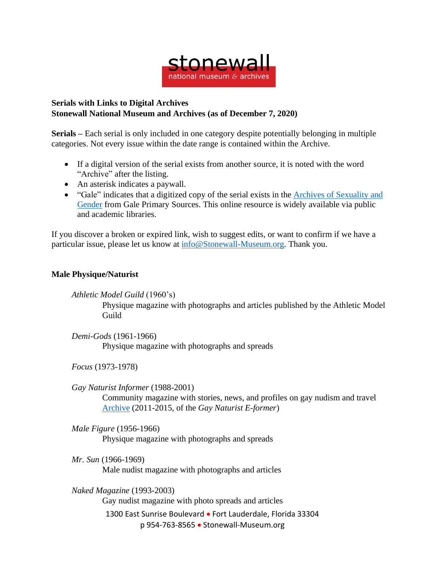

## **Serials with Links to Digital Archives Stonewall National Museum and Archives (as of December 7, 2020)**

**Serials –** Each serial is only included in one category despite potentially belonging in multiple categories. Not every issue within the date range is contained within the Archive.

- If a digital version of the serial exists from another source, it is noted with the word "Archive" after the listing.
- An asterisk indicates a paywall.
- "Gale" indicates that a digitized copy of the serial exists in the Archives of [Sexuality](https://www.gale.com/primary-sources/archives-of-sexuality-and-gender) and [Gender](https://www.gale.com/primary-sources/archives-of-sexuality-and-gender) from Gale Primary Sources. This online resource is widely available via public and academic libraries.

If you discover a broken or expired link, wish to suggest edits, or want to confirm if we have a particular issue, please let us know at [info@Stonewall-Museum.org.](mailto:info@Stonewall-Museum.org) Thank you.

## **Male Physique/Naturist**

*Athletic Model Guild* (1960's)

Physique magazine with photographs and articles published by the Athletic Model Guild

*Demi-Gods* (1961-1966) Physique magazine with photographs and spreads

*Focus* (1973-1978)

*Gay Naturist Informer* (1988-2001) Community magazine with stories, news, and profiles on gay nudism and travel [Archive](https://gaynaturists.org/news/gay-naturist-e-former-overview/back-issues-of-the-gay-naturist-e-former/) (2011-2015, of the *Gay Naturist E-former*)

*Male Figure* (1956-1966) Physique magazine with photographs and spreads

*Mr. Sun* (1966-1969) Male nudist magazine with photographs and articles

1300 East Sunrise Boulevard • Fort Lauderdale, Florida 33304 p 954-763-8565 • Stonewall-Museum.org *Naked Magazine* (1993-2003) Gay nudist magazine with photo spreads and articles